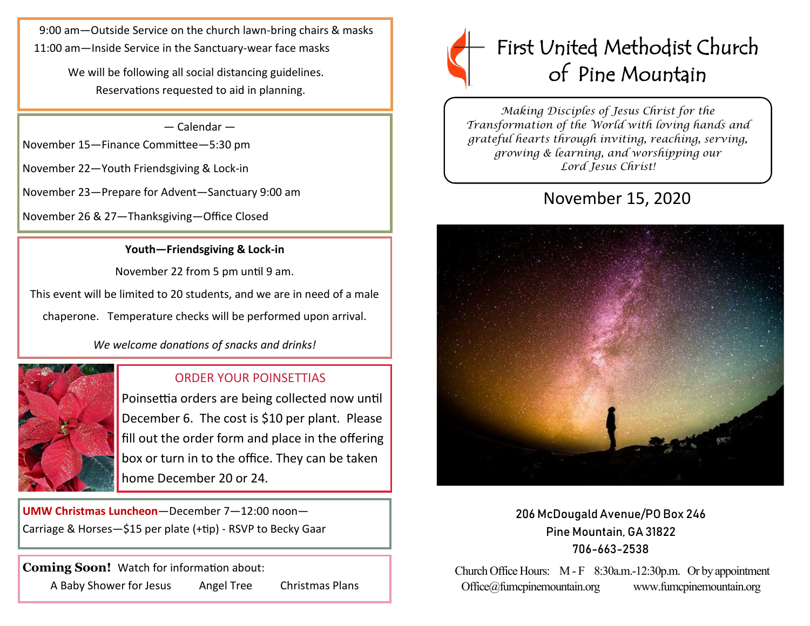9:00 am—Outside Service on the church lawn-bring chairs & masks 11:00 am—Inside Service in the Sanctuary-wear face masks

> We will be following all social distancing guidelines. Reservations requested to aid in planning.

> > — Calendar —

November 15—Finance Committee—5:30 pm

November 22—Youth Friendsgiving & Lock-in

November 23—Prepare for Advent—Sanctuary 9:00 am

November 26 & 27—Thanksgiving—Office Closed

## **Youth—Friendsgiving & Lock-in**

November 22 from 5 pm until 9 am.

This event will be limited to 20 students, and we are in need of a male

chaperone. Temperature checks will be performed upon arrival.

*We welcome donations of snacks and drinks!*



# ORDER YOUR POINSETTIAS

Poinsettia orders are being collected now until December 6. The cost is \$10 per plant. Please fill out the order form and place in the offering box or turn in to the office. They can be taken home December 20 or 24.

**UMW Christmas Luncheon**—December 7—12:00 noon— Carriage & Horses—\$15 per plate (+tip) - RSVP to Becky Gaar

**Coming Soon!** Watch for information about: A Baby Shower for Jesus Angel Tree Christmas Plans



*Making Disciples of Jesus Christ for the Transformation of the World with loving hands and grateful hearts through inviting, reaching, serving, growing & learning, and worshipping our Lord Jesus Christ!* 

# November 15, 2020



206 McDougald Avenue/PO Box 246 Pine Mountain, GA 31822 706-663-2538

Church Office Hours: M - F 8:30a.m.-12:30p.m. Or by appointment Office@fumcpinemountain.org www.fumcpinemountain.org